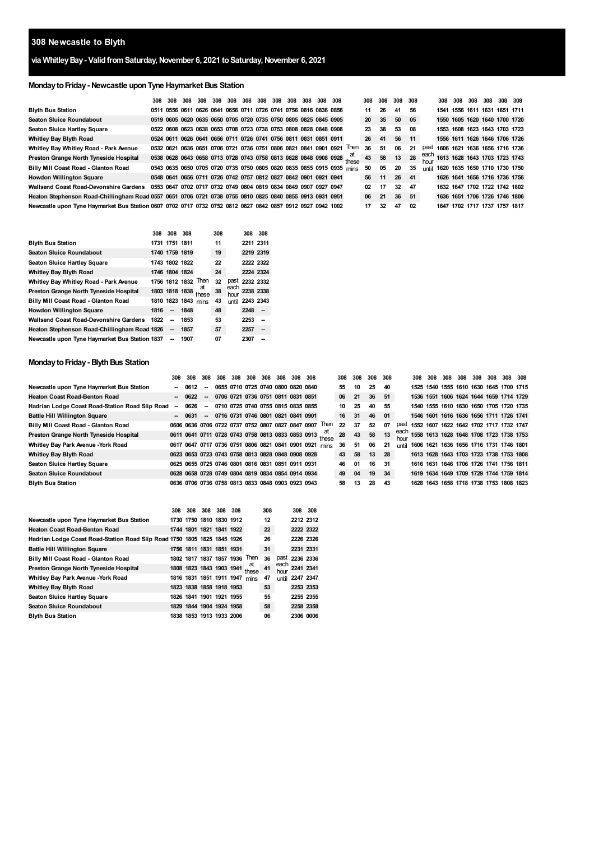# **Newcastle to Blyth**

# **via WhitleyBay- ValidfromSaturday,November 6, 2021 toSaturday,November 6, 2021**

# **MondaytoFriday- Newcastle uponTyne Haymarket Bus Station**

|                                                                                                            | 308                                                              | 308 | 308 |  |  |  | 308 308 308 308 308 308 308 308 | 308 308 |                                                                        |             | 308 | 308 | 308 | 308  |              | 308                           | 308 | 308 | 308 | 308 308 |  |
|------------------------------------------------------------------------------------------------------------|------------------------------------------------------------------|-----|-----|--|--|--|---------------------------------|---------|------------------------------------------------------------------------|-------------|-----|-----|-----|------|--------------|-------------------------------|-----|-----|-----|---------|--|
| <b>Blyth Bus Station</b>                                                                                   | 0511 0556 0611 0626 0641 0656 0711 0726 0741 0756 0816 0836 0856 |     |     |  |  |  |                                 |         |                                                                        |             | 11  | 26  | 41  | 56   |              | 1541 1556 1611 1631 1651 1711 |     |     |     |         |  |
| <b>Seaton Sluice Roundabout</b>                                                                            | 0519 0605 0620 0635 0650 0705 0720 0735 0750 0805 0825 0845 0905 |     |     |  |  |  |                                 |         |                                                                        |             | 20  | 35  | 50  | 05   |              | 1550 1605 1620 1640 1700 1720 |     |     |     |         |  |
| Seaton Sluice Hartley Square                                                                               | 0522 0608 0623 0638 0653 0708 0723 0738 0753 0808 0828 0848 0908 |     |     |  |  |  |                                 |         |                                                                        |             | 23  | 38  | 53  | 08   |              | 1553 1608 1623 1643 1703 1723 |     |     |     |         |  |
| <b>Whitley Bay Blyth Road</b>                                                                              | 0524 0611 0626 0641 0656 0711 0726 0741 0756 0811 0831 0851 0911 |     |     |  |  |  |                                 |         |                                                                        |             | 26  | 41  | 56  | 11   |              | 1556 1611 1626 1646 1706 1726 |     |     |     |         |  |
| Whitley Bay Whitley Road - Park Avenue                                                                     | 0532 0621 0636 0651 0706 0721 0736 0751 0806 0821 0841 0901 0921 |     |     |  |  |  |                                 |         |                                                                        | <b>Then</b> | 36  | 51  | 06  | 21   | past         | 1606 1621 1636 1656 1716 1736 |     |     |     |         |  |
| Preston Grange North Tyneside Hospital                                                                     |                                                                  |     |     |  |  |  |                                 |         | 0538 0628 0643 0658 0713 0728 0743 0758 0813 0828 0848 0908 0928 these |             | 43  | 58  | 13  | 28   | each         | 1613 1628 1643 1703 1723 1743 |     |     |     |         |  |
| Billy Mill Coast Road - Glanton Road                                                                       |                                                                  |     |     |  |  |  |                                 |         | 0543 0635 0650 0705 0720 0735 0750 0805 0820 0835 0855 0915 0935 mins  |             | 50  | 05  | 20  | -35  | <b>until</b> | 1620 1635 1650 1710 1730 1750 |     |     |     |         |  |
| <b>Howdon Willington Square</b>                                                                            | 0548 0641 0656 0711 0726 0742 0757 0812 0827 0842 0901 0921 0941 |     |     |  |  |  |                                 |         |                                                                        |             | 56  | 11  | 26  | 41   |              | 1626 1641 1656 1716 1736 1756 |     |     |     |         |  |
| <b>Wallsend Coast Road-Devonshire Gardens</b>                                                              | 0553 0647 0702 0717 0732 0749 0804 0819 0834 0849 0907 0927 0947 |     |     |  |  |  |                                 |         |                                                                        |             | 02  | 17  | 32  | - 47 |              | 1632 1647 1702 1722 1742 1802 |     |     |     |         |  |
| Heaton Stephenson Road-Chillingham Road 0557 0651 0706 0721 0738 0755 0810 0825 0840 0855 0913 0931 0951   |                                                                  |     |     |  |  |  |                                 |         |                                                                        |             | 06  | 21  | 36  | 51   |              | 1636 1651 1706 1726 1746 1806 |     |     |     |         |  |
| Newcastle upon Tyne Haymarket Bus Station 0607 0702 0717 0732 0752 0812 0827 0842 0857 0912 0927 0942 1002 |                                                                  |     |     |  |  |  |                                 |         |                                                                        |             | 17  | 32  | 47  | 02   |              | 1647 1702 1717 1737 1757 1817 |     |     |     |         |  |

|                                                | 308  | 308                      | 308                 |             | 308 |              | 308            | 308 |
|------------------------------------------------|------|--------------------------|---------------------|-------------|-----|--------------|----------------|-----|
| <b>Blyth Bus Station</b>                       |      | 1731 1751 1811           |                     |             | 11  |              | 2211 2311      |     |
| <b>Seaton Sluice Roundabout</b>                |      | 1740 1759 1819           |                     |             | 19  |              | 2219 2319      |     |
| <b>Seaton Sluice Hartley Square</b>            |      | 1743 1802 1822           |                     |             | 22  |              | 2222 2322      |     |
| Whitley Bay Blyth Road                         |      | 1746 1804 1824           |                     |             | 24  |              | 2224 2324      |     |
| Whitley Bay Whitley Road - Park Avenue         |      |                          | 1756 1812 1832 Then |             | 32  |              | past 2232 2332 |     |
| Preston Grange North Tyneside Hospital         |      |                          | 1803 1818 1838      | at<br>these | 38  | each<br>hour | 2238 2338      |     |
| Billy Mill Coast Road - Glanton Road           |      |                          | 1810 1823 1843 mins |             | 43  | until        | 2243 2343      |     |
| <b>Howdon Willington Square</b>                | 1816 | --                       | 1848                |             | 48  |              | 2248           | --  |
| <b>Wallsend Coast Road-Devonshire Gardens</b>  | 1822 |                          | 1853                |             | 53  |              | 2253           | --  |
| Heaton Stephenson Road-Chillingham Road 1826   |      | --                       | 1857                |             | 57  |              | 2257           | --  |
| Newcastle upon Tyne Haymarket Bus Station 1837 |      | $\overline{\phantom{a}}$ | 1907                |             | 07  |              | 2307           |     |

# **Monday to Friday - Blyth Bus Station**

**Blyth Bus Station**

|                                                                          | 308                      | 308                                                    | 308                      | 308 | 308 | 308         | 308 | 308                                | 308 | 308       |                                                         | 308 | 308 | 308 | 308 |              | 308 | 308 | 308 | 308 308 | 308                                     | 308 308 |  |
|--------------------------------------------------------------------------|--------------------------|--------------------------------------------------------|--------------------------|-----|-----|-------------|-----|------------------------------------|-----|-----------|---------------------------------------------------------|-----|-----|-----|-----|--------------|-----|-----|-----|---------|-----------------------------------------|---------|--|
| Newcastle upon Tyne Haymarket Bus Station                                |                          | 0612                                                   | $\overline{\phantom{a}}$ |     |     |             |     | 0655 0710 0725 0740 0800 0820 0840 |     |           |                                                         | 55  | 10  | 25  | 40  |              |     |     |     |         | 1525 1540 1555 1610 1630 1645 1700 1715 |         |  |
| <b>Heaton Coast Road-Benton Road</b>                                     |                          | 0622                                                   | $\overline{\phantom{a}}$ |     |     |             |     | 0706 0721 0736 0751 0811 0831 0851 |     |           |                                                         | 06  | 21  | 36  | 51  |              |     |     |     |         | 1536 1551 1606 1624 1644 1659 1714 1729 |         |  |
| Hadrian Lodge Coast Road-Station Road Slip Road                          | $\overline{\phantom{a}}$ | 0626                                                   | $\overline{\phantom{a}}$ |     |     |             |     | 0710 0725 0740 0755 0815 0835 0855 |     |           |                                                         | 10  | 25  | 40  | 55  |              |     |     |     |         | 1540 1555 1610 1630 1650 1705 1720 1735 |         |  |
| <b>Battle Hill Willington Square</b>                                     |                          | $-0631$                                                | $\overline{\phantom{a}}$ |     |     |             |     | 0716 0731 0746 0801 0821 0841 0901 |     |           |                                                         | 16  | 31  | 46  | 01  |              |     |     |     |         | 1546 1601 1616 1636 1656 1711 1726 1741 |         |  |
| Billy Mill Coast Road - Glanton Road                                     |                          | 0606 0636 0706 0722 0737 0752 0807 0827 0847 0907 Then |                          |     |     |             |     |                                    |     |           |                                                         | 22  | 37  | 52  | 07  | past         |     |     |     |         | 1552 1607 1622 1642 1702 1717 1732 1747 |         |  |
| Preston Grange North Tyneside Hospital                                   |                          |                                                        |                          |     |     |             |     |                                    |     |           | 0611 0641 0711 0728 0743 0758 0813 0833 0853 0913 these | 28  | 43  | 58  | 13  | each<br>hour |     |     |     |         | 1558 1613 1628 1648 1708 1723 1738 1753 |         |  |
| Whitley Bay Park Avenue - York Road                                      |                          | 0617 0647 0717 0736 0751 0806 0821 0841 0901 0921 mins |                          |     |     |             |     |                                    |     |           |                                                         | 36  | 51  | 06  | 21  | until        |     |     |     |         | 1606 1621 1636 1656 1716 1731 1746 1801 |         |  |
| <b>Whitley Bay Blyth Road</b>                                            |                          | 0623 0653 0723 0743 0758 0813 0828 0848 0908 0928      |                          |     |     |             |     |                                    |     |           |                                                         | 43  | 58  | 13  | 28  |              |     |     |     |         | 1613 1628 1643 1703 1723 1738 1753 1808 |         |  |
| Seaton Sluice Hartley Square                                             |                          | 0625 0655 0725 0746 0801 0816 0831 0851 0911 0931      |                          |     |     |             |     |                                    |     |           |                                                         | 46  | 01  | 16  | 31  |              |     |     |     |         | 1616 1631 1646 1706 1726 1741 1756 1811 |         |  |
| <b>Seaton Sluice Roundabout</b>                                          |                          | 0628 0658 0728 0749 0804 0819 0834 0854 0914 0934      |                          |     |     |             |     |                                    |     |           |                                                         | 49  | 04  | 19  | 34  |              |     |     |     |         | 1619 1634 1649 1709 1729 1744 1759 1814 |         |  |
| <b>Blyth Bus Station</b>                                                 |                          | 0636 0706 0736 0758 0813 0833 0848 0903 0923 0943      |                          |     |     |             |     |                                    |     |           |                                                         | 58  | 13  | 28  | 43  |              |     |     |     |         | 1628 1643 1658 1718 1738 1753 1808 1823 |         |  |
|                                                                          |                          |                                                        |                          |     |     |             |     |                                    |     |           |                                                         |     |     |     |     |              |     |     |     |         |                                         |         |  |
|                                                                          | 308                      | 308                                                    | 308                      | 308 | 308 |             | 308 |                                    | 308 | 308       |                                                         |     |     |     |     |              |     |     |     |         |                                         |         |  |
| Newcastle upon Tyne Haymarket Bus Station                                |                          | 1730 1750 1810 1830 1912                               |                          |     |     |             | 12  |                                    |     | 2212 2312 |                                                         |     |     |     |     |              |     |     |     |         |                                         |         |  |
| <b>Heaton Coast Road-Benton Road</b>                                     |                          | 1744 1801 1821 1841 1922                               |                          |     |     |             | 22  |                                    |     | 2222 2322 |                                                         |     |     |     |     |              |     |     |     |         |                                         |         |  |
| Hadrian Lodge Coast Road-Station Road Slip Road 1750 1805 1825 1845 1926 |                          |                                                        |                          |     |     |             | 26  |                                    |     | 2226 2326 |                                                         |     |     |     |     |              |     |     |     |         |                                         |         |  |
| <b>Battle Hill Willington Square</b>                                     |                          | 1756 1811 1831 1851 1931                               |                          |     |     |             | 31  |                                    |     | 2231 2331 |                                                         |     |     |     |     |              |     |     |     |         |                                         |         |  |
| Billy Mill Coast Road - Glanton Road                                     |                          | 1802 1817 1837 1857 1936 Then                          |                          |     |     |             | 36  | past                               |     | 2236 2336 |                                                         |     |     |     |     |              |     |     |     |         |                                         |         |  |
| Preston Grange North Tyneside Hospital                                   |                          | 1808 1823 1843 1903 1941                               |                          |     |     | at<br>these | 41  | each<br>hou                        |     | 2241 2341 |                                                         |     |     |     |     |              |     |     |     |         |                                         |         |  |
| Whitley Bay Park Avenue - York Road                                      |                          | 1816 1831 1851 1911 1947 mins                          |                          |     |     |             | 47  | until                              |     | 2247 2347 |                                                         |     |     |     |     |              |     |     |     |         |                                         |         |  |
| Whitley Bay Blyth Road                                                   |                          | 1823 1838 1858 1918 1953                               |                          |     |     |             | 53  |                                    |     | 2253 2353 |                                                         |     |     |     |     |              |     |     |     |         |                                         |         |  |
| Seaton Sluice Hartley Square                                             |                          | 1826 1841 1901 1921 1955                               |                          |     |     |             | 55  |                                    |     | 2255 2355 |                                                         |     |     |     |     |              |     |     |     |         |                                         |         |  |
| <b>Seaton Sluice Roundabout</b>                                          |                          | 1829 1844 1904 1924 1958                               |                          |     |     |             | 58  |                                    |     | 2258 2358 |                                                         |     |     |     |     |              |     |     |     |         |                                         |         |  |
|                                                                          |                          |                                                        |                          |     |     |             |     |                                    |     |           |                                                         |     |     |     |     |              |     |     |     |         |                                         |         |  |

**06 2306**

**1853 1913 1933**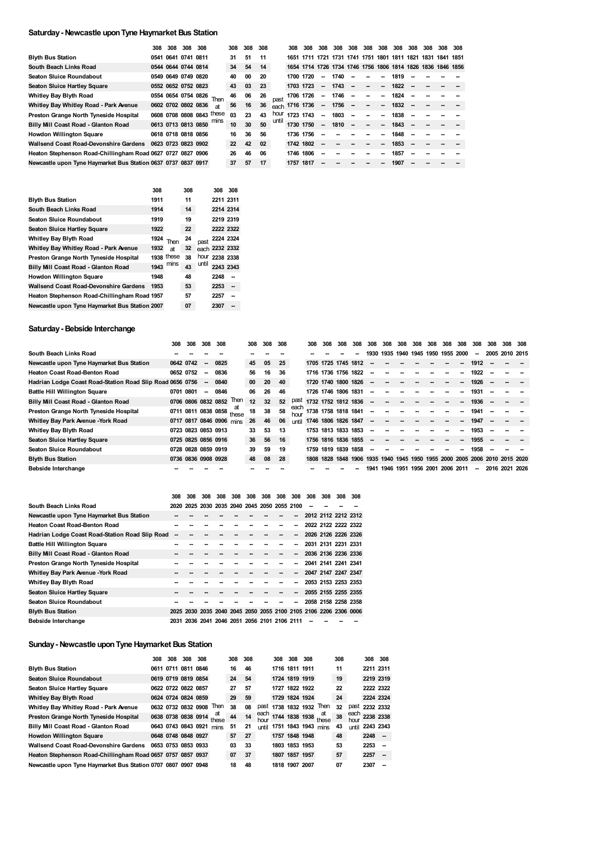#### **Saturday- Newcastle uponTyne Haymarket Bus Station**

|                                                               | 308 | 308 | 308                 | 308                       |                          | 308 | 308 | 308 |       | 308            | 308       | 308                      | 308                                                         | 308                      | 308                      | 308                      | 308      | 308 | 308 | 308 308 |
|---------------------------------------------------------------|-----|-----|---------------------|---------------------------|--------------------------|-----|-----|-----|-------|----------------|-----------|--------------------------|-------------------------------------------------------------|--------------------------|--------------------------|--------------------------|----------|-----|-----|---------|
| <b>Blyth Bus Station</b>                                      |     |     | 0541 0641 0741 0811 |                           |                          | 31  | 51  | -11 |       | 1651           |           |                          | 1711 1721 1731 1741 1751 1801 1811 1821 1831 1841 1851      |                          |                          |                          |          |     |     |         |
| South Beach Links Road                                        |     |     | 0544 0644 0744 0814 |                           |                          | 34  | 54  | 14  |       |                |           |                          | 1654 1714 1726 1734 1746 1756 1806 1814 1826 1836 1846 1856 |                          |                          |                          |          |     |     |         |
| <b>Seaton Sluice Roundabout</b>                               |     |     | 0549 0649 0749 0820 |                           |                          | 40  | 00  | 20  |       |                | 1700 1720 | --                       | 1740                                                        | --                       | --                       | $\overline{\phantom{a}}$ | 1819     |     |     |         |
| <b>Seaton Sluice Hartley Square</b>                           |     |     | 0552 0652 0752 0823 |                           |                          | 43  | 03  | 23  |       |                | 1703 1723 | $\sim$                   | 1743                                                        | $\overline{\phantom{a}}$ | $\overline{\phantom{a}}$ | $\sim$                   | 1822     |     |     |         |
| Whitley Bay Blyth Road                                        |     |     |                     |                           | 0554 0654 0754 0826 Then | 46  | 06  | 26  | past  |                | 1706 1726 | $\overline{\phantom{a}}$ | 1746                                                        | $\overline{\phantom{a}}$ | $\overline{\phantom{a}}$ | $\sim$                   | 1824     |     |     |         |
| Whitley Bay Whitley Road - Park Avenue                        |     |     | 0602 0702 0802 0836 |                           | <b>at</b>                | 56  | 16  | 36  |       | each 1716 1736 |           |                          | $-1756 -$                                                   |                          | $\overline{\phantom{a}}$ | $\sim$                   | $1832 -$ |     |     |         |
| Preston Grange North Tyneside Hospital                        |     |     |                     | 0608 0708 0808 0843 these |                          | 03  | 23  | 43  | hour  | 1723 1743      |           | --                       | 1803                                                        | $\overline{\phantom{a}}$ | $\overline{\phantom{a}}$ | -                        | 1838     |     |     |         |
| Billy Mill Coast Road - Glanton Road                          |     |     |                     | 0613 0713 0813 0850       | mins                     | 10  | 30  | 50  | until | 1730 1750      |           | --                       | 1810                                                        | $\overline{\phantom{a}}$ | $\overline{\phantom{a}}$ | $\sim$                   | 1843     |     |     |         |
| <b>Howdon Willington Square</b>                               |     |     | 0618 0718 0818 0856 |                           |                          | 16  | 36  | 56  |       | 1736 1756      |           | --                       |                                                             |                          | --                       | -                        | 1848     |     |     |         |
| <b>Wallsend Coast Road-Devonshire Gardens</b>                 |     |     | 0623 0723 0823 0902 |                           |                          | 22  | 42  | 02  |       | 1742 1802      |           |                          |                                                             |                          |                          | --                       | 1853     |     |     |         |
| Heaton Stephenson Road-Chillingham Road 0627 0727 0827 0906   |     |     |                     |                           |                          | 26  | 46  | 06  |       |                | 1746 1806 |                          |                                                             |                          |                          | --                       | 1857     |     |     |         |
| Newcastle upon Tyne Haymarket Bus Station 0637 0737 0837 0917 |     |     |                     |                           |                          | 37  | 57  | 17  |       | 1757 1817      |           |                          |                                                             |                          |                          |                          | 1907     |     |     |         |

|                                                | 308  |            | 308 |       | 308            | 308       |
|------------------------------------------------|------|------------|-----|-------|----------------|-----------|
| <b>Blyth Bus Station</b>                       | 1911 |            | 11  |       | 2211 2311      |           |
| South Beach Links Road                         | 1914 |            | 14  |       |                | 2214 2314 |
| Seaton Sluice Roundabout                       | 1919 |            | 19  |       | 2219 2319      |           |
| <b>Seaton Sluice Hartley Square</b>            | 1922 |            | 22  |       |                | 2222 2322 |
| <b>Whitley Bay Blyth Road</b>                  | 1924 | Then       | 24  | past  |                | 2224 2324 |
| Whitley Bay Whitley Road - Park Avenue         | 1932 | at         | 32  |       | each 2232 2332 |           |
| Preston Grange North Tyneside Hospital         |      | 1938 these | 38  |       | hour 2238 2338 |           |
| Billy Mill Coast Road - Glanton Road           | 1943 | mins       | 43  | until | 2243 2343      |           |
| <b>Howdon Willington Square</b>                | 1948 |            | 48  |       | 2248           |           |
| <b>Wallsend Coast Road-Devonshire Gardens</b>  | 1953 |            | 53  |       | 2253           | --        |
| Heaton Stephenson Road-Chillingham Road 1957   |      |            | 57  |       | 2257           |           |
| Newcastle upon Tyne Haymarket Bus Station 2007 |      |            | 07  |       | 2307           |           |

# **Saturday- Bebside Interchange**

|                                                           | 308 | 308                 | 308                      | 308                      |                           | 308 | 308 | 308 |       | 308                 | 308 | 308                 | 308  | 308                      | 308                                | 308 | 308 | 308 | 308 | 308    | 308    | 308 | 308                                                                        | 308 |
|-----------------------------------------------------------|-----|---------------------|--------------------------|--------------------------|---------------------------|-----|-----|-----|-------|---------------------|-----|---------------------|------|--------------------------|------------------------------------|-----|-----|-----|-----|--------|--------|-----|----------------------------------------------------------------------------|-----|
| South Beach Links Road                                    |     |                     |                          |                          |                           |     |     |     |       |                     |     |                     |      |                          | 1930 1935 1940 1945 1950 1955 2000 |     |     |     |     |        | $\sim$ |     | 2005 2010 2015                                                             |     |
| Newcastle upon Tyne Haymarket Bus Station                 |     | 0642 0742           | $\overline{\phantom{a}}$ | 0825                     |                           | 45  | 05  | 25  |       | 1705 1725 1745 1812 |     |                     |      |                          |                                    |     |     |     |     |        | 1912   |     |                                                                            |     |
| <b>Heaton Coast Road-Benton Road</b>                      |     | 0652 0752           | $\overline{\phantom{a}}$ | 0836                     |                           | 56  | 16  | 36  |       | 1716 1736 1756 1822 |     |                     |      | --                       |                                    |     |     |     |     |        | 1922   |     |                                                                            |     |
| Hadrian Lodge Coast Road-Station Road Slip Road 0656 0756 |     |                     | $\overline{\phantom{a}}$ | 0840                     |                           | 00  | 20  | 40  |       | 1720 1740 1800 1826 |     |                     |      |                          | --                                 |     |     |     |     | $\sim$ | 1926   |     |                                                                            |     |
| <b>Battle Hill Willington Square</b>                      |     | 0701 0801           | -                        | 0846                     |                           | 06  | 26  | 46  |       |                     |     | 1726 1746 1806 1831 |      | --                       |                                    |     |     |     |     |        | 1931   |     |                                                                            |     |
| Billy Mill Coast Road - Glanton Road                      |     |                     |                          | 0706 0806 0832 0852      | Then                      | 12  | 32  | 52  | past  | 1732 1752 1812 1836 |     |                     |      | $\overline{\phantom{a}}$ |                                    |     |     |     |     |        | 1936   |     |                                                                            |     |
| Preston Grange North Tyneside Hospital                    |     |                     |                          |                          | 0711 0811 0838 0858 these | 18  | 38  | 58  | each  | 1738 1758 1818 1841 |     |                     |      |                          |                                    |     |     |     |     |        | 1941   |     |                                                                            |     |
| Whitley Bay Park Avenue - York Road                       |     |                     |                          | 0717 0817 0846 0906 mins |                           | 26  | 46  | 06  | until | 1746 1806 1826 1847 |     |                     |      | --                       |                                    |     |     |     |     |        | 1947   |     |                                                                            |     |
| <b>Whitley Bay Blyth Road</b>                             |     | 0723 0823 0853 0913 |                          |                          |                           | 33  | 53  | 13  |       |                     |     | 1753 1813 1833 1853 |      | --                       |                                    |     |     |     |     |        | 1953   |     |                                                                            |     |
| <b>Seaton Sluice Hartley Square</b>                       |     |                     |                          | 0725 0825 0856 0916      |                           | 36  | 56  | 16  |       | 1756 1816 1836 1855 |     |                     |      |                          | --                                 |     |     |     |     |        | 1955   |     |                                                                            |     |
| <b>Seaton Sluice Roundabout</b>                           |     | 0728 0828 0859 0919 |                          |                          |                           | 39  | 59  | 19  |       | 1759                |     | 1819 1839           | 1858 | --                       | --                                 |     |     |     |     |        | 1958   |     |                                                                            |     |
| <b>Blyth Bus Station</b>                                  |     | 0736 0836 0908 0928 |                          |                          |                           | 48  | 08  | 28  |       |                     |     |                     |      |                          |                                    |     |     |     |     |        |        |     | 1808 1828 1848 1906 1935 1940 1945 1950 1955 2000 2005 2006 2010 2015 2020 |     |
| Bebside Interchange                                       |     |                     |                          |                          |                           |     |     |     |       |                     |     |                     |      | 1941                     | 1946 1951 1956 2001 2006 2011      |     |     |     |     |        | $\sim$ |     | 2016 2021 2026                                                             |     |

|                                                 | 308  | 308 | 308 | 308 | 308 | 308                                                              | 308 | 308 | 308 | 308                 | 308                 | 308 | 308                 |
|-------------------------------------------------|------|-----|-----|-----|-----|------------------------------------------------------------------|-----|-----|-----|---------------------|---------------------|-----|---------------------|
| South Beach Links Road                          |      |     |     |     |     | 2020 2025 2030 2035 2040 2045 2050 2055 2100                     |     |     |     |                     |                     |     |                     |
| Newcastle upon Tyne Haymarket Bus Station       |      |     |     |     |     |                                                                  |     |     | --  |                     |                     |     | 2012 2112 2212 2312 |
| <b>Heaton Coast Road-Benton Road</b>            |      |     |     |     |     |                                                                  |     |     | --  |                     | 2022 2122 2222 2322 |     |                     |
| Hadrian Lodge Coast Road-Station Road Slip Road | -    |     |     |     |     |                                                                  |     |     | --  |                     | 2026 2126 2226 2326 |     |                     |
| <b>Battle Hill Willington Square</b>            |      |     |     |     |     |                                                                  |     | --  | --  |                     | 2031 2131 2231 2331 |     |                     |
| Billy Mill Coast Road - Glanton Road            |      |     |     |     |     |                                                                  |     |     | --  | 2036 2136 2236 2336 |                     |     |                     |
| Preston Grange North Tyneside Hospital          |      |     |     |     |     |                                                                  |     |     | --  |                     | 2041 2141 2241 2341 |     |                     |
| Whitley Bay Park Avenue - York Road             |      |     |     |     |     |                                                                  |     |     |     | 2047 2147 2247 2347 |                     |     |                     |
| <b>Whitley Bay Blyth Road</b>                   |      |     |     |     |     |                                                                  |     |     | --  |                     |                     |     | 2053 2153 2253 2353 |
| <b>Seaton Sluice Hartley Square</b>             |      |     |     |     |     |                                                                  |     |     | --  |                     | 2055 2155 2255 2355 |     |                     |
| Seaton Sluice Roundabout                        |      |     |     |     |     |                                                                  |     |     | --  |                     | 2058 2158 2258 2358 |     |                     |
| <b>Blyth Bus Station</b>                        |      |     |     |     |     | 2025 2030 2035 2040 2045 2050 2055 2100 2105 2106 2206 2306 0006 |     |     |     |                     |                     |     |                     |
| Bebside Interchange                             | 2031 |     |     |     |     | 2036 2041 2046 2051 2056 2101 2106 2111                          |     |     |     |                     |                     |     |                     |

#### **Sunday- Newcastle uponTyne Haymarket Bus Station**

|                                                               | 308 | 308 | 308                      | 308 |             | 308 | 308 |              | 308 | 308            | 308            |                     | 308 |              | 308 308   |    |
|---------------------------------------------------------------|-----|-----|--------------------------|-----|-------------|-----|-----|--------------|-----|----------------|----------------|---------------------|-----|--------------|-----------|----|
| <b>Blyth Bus Station</b>                                      |     |     | 0611 0711 0811 0846      |     |             | 16  | 46  |              |     | 1716 1811 1911 |                |                     | 11  |              | 2211 2311 |    |
| <b>Seaton Sluice Roundabout</b>                               |     |     | 0619 0719 0819 0854      |     |             | 24  | 54  |              |     | 1724 1819 1919 |                |                     | 19  |              | 2219 2319 |    |
| Seaton Sluice Hartley Square                                  |     |     | 0622 0722 0822 0857      |     |             | 27  | 57  |              |     | 1727 1822 1922 |                |                     | 22  |              | 2222 2322 |    |
| <b>Whitley Bay Blyth Road</b>                                 |     |     | 0624 0724 0824 0859      |     |             | 29  | 59  |              |     | 1729 1824 1924 |                |                     | 24  |              | 2224 2324 |    |
| Whitley Bay Whitley Road - Park Avenue                        |     |     | 0632 0732 0832 0908      |     | Then        | 38  | 08  | past         |     | 1738 1832 1932 |                | Then                | 32  | past         | 2232 2332 |    |
| Preston Grange North Tyneside Hospital                        |     |     | 0638 0738 0838 0914      |     | at<br>these | 44  | 14  | each<br>hour |     |                | 1744 1838 1938 | at<br>these         | 38  | each<br>hour | 2238 2338 |    |
| Billy Mill Coast Road - Glanton Road                          |     |     | 0643 0743 0843 0921 mins |     |             | 51  | 21  | <b>until</b> |     |                |                | 1751 1843 1943 mins | 43  | until        | 2243 2343 |    |
| <b>Howdon Willington Square</b>                               |     |     | 0648 0748 0848 0927      |     |             | 57  | 27  |              |     | 1757 1848 1948 |                |                     | 48  |              | $2248 -$  |    |
| <b>Wallsend Coast Road-Devonshire Gardens</b>                 |     |     | 0653 0753 0853 0933      |     |             | 03  | 33  |              |     | 1803 1853 1953 |                |                     | 53  |              | 2253      | -- |
| Heaton Stephenson Road-Chillingham Road 0657 0757 0857 0937   |     |     |                          |     |             | 07  | 37  |              |     | 1807 1857 1957 |                |                     | 57  |              | 2257      | -- |
| Newcastle upon Tyne Haymarket Bus Station 0707 0807 0907 0948 |     |     |                          |     |             | 18  | 48  |              |     | 1818 1907 2007 |                |                     | 07  |              | 2307      | -- |